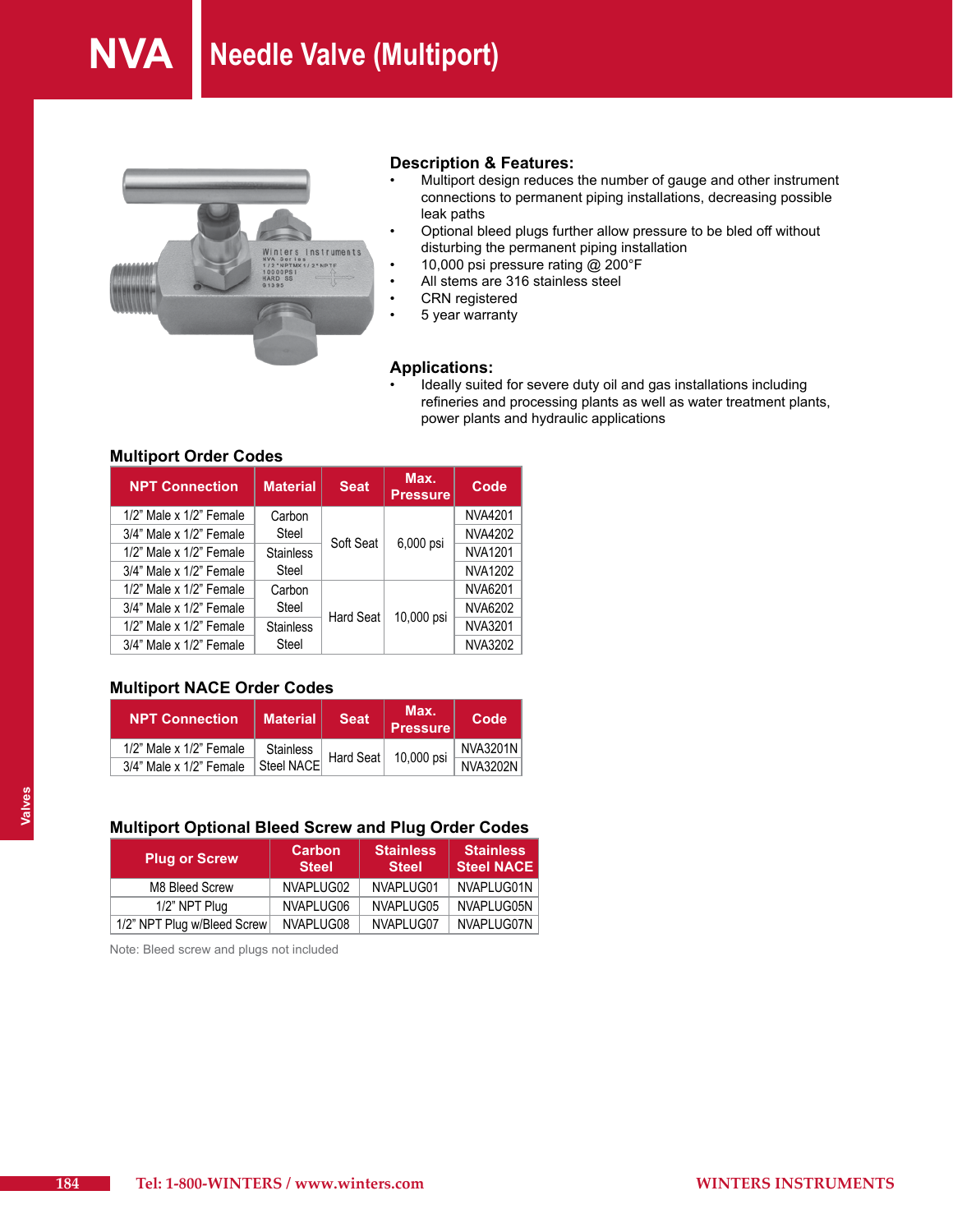# **NVA** Needle Valve (Multiport)



#### **Description & Features:**

- Multiport design reduces the number of gauge and other instrument connections to permanent piping installations, decreasing possible leak paths
- • Optional bleed plugs further allow pressure to be bled off without disturbing the permanent piping installation
- 10,000 psi pressure rating @ 200°F<br>• All stems are 316 stainless steel
- All stems are 316 stainless steel<br>• CRN registered
- CRN registered
- 5 year warranty

### **Applications:**

Ideally suited for severe duty oil and gas installations including refineries and processing plants as well as water treatment plants, power plants and hydraulic applications

### **Multiport Order Codes**

| <b>NPT Connection</b>         | <b>Material</b>           | Seat.     | Max.<br><b>Pressure</b> | Code           |
|-------------------------------|---------------------------|-----------|-------------------------|----------------|
| 1/2" Male x 1/2" Female       | Carbon                    |           |                         | NVA4201        |
| $3/4$ " Male x $1/2$ " Female | Steel<br><b>Stainless</b> | Soft Seat |                         | NVA4202        |
| $1/2$ " Male x $1/2$ " Female |                           |           | 6,000 psi               | <b>NVA1201</b> |
| 3/4" Male x 1/2" Female       | Steel                     |           |                         | NVA1202        |
| 1/2" Male x 1/2" Female       | Carbon                    |           |                         | NVA6201        |
| $3/4$ " Male x $1/2$ " Female | Steel<br><b>Stainless</b> | Hard Seat | 10,000 psi              | NVA6202        |
| 1/2" Male x 1/2" Female       |                           |           |                         | NVA3201        |
| $3/4$ " Male x $1/2$ " Female | Steel                     |           |                         | NVA3202        |

### **Multiport NACE Order Codes**

| <b>NPT Connection</b>         | <b>Material</b>         | <b>Seat</b> | Max.<br>Pressure     | Code     |
|-------------------------------|-------------------------|-------------|----------------------|----------|
| $1/2$ " Male x $1/2$ " Female | Stainless<br>Steel NACE |             | Hard Seat 10,000 psi | NVA3201N |
| $3/4$ " Male x $1/2$ " Female |                         |             |                      | NVA3202N |

### **Multiport Optional Bleed Screw and Plug Order Codes**

| <b>Plug or Screw</b>        | Carbon<br><b>Steel</b> | <b>Stainless</b><br><b>Steel</b> | <b>Stainless</b><br>Steel NACE |
|-----------------------------|------------------------|----------------------------------|--------------------------------|
| M8 Bleed Screw              | NVAPLUG02              | NVAPLUG01                        | NVAPLUG01N                     |
| 1/2" NPT Plug               | NVAPLUG06              | NVAPLUG05                        | NVAPLUG05N                     |
| 1/2" NPT Plug w/Bleed Screw | NVAPLUG08              | NVAPLUG07                        | NVAPLUG07N                     |

Note: Bleed screw and plugs not included